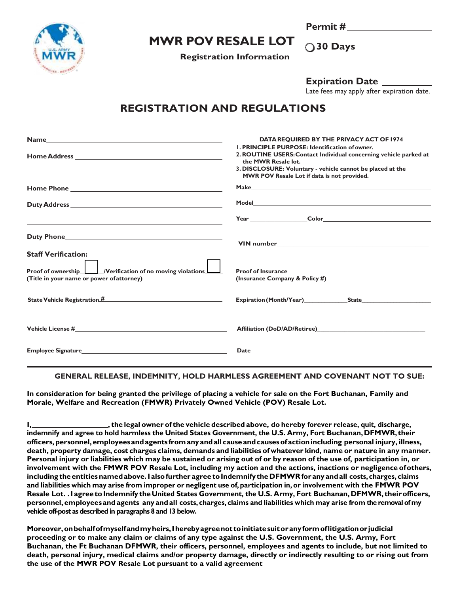

## **MWR POV RESALE LOT**

**Registration Information**

**Permit # 30 Days**

**Expiration Date**

Late fees may apply after expiration date.

## **REGISTRATION AND REGULATIONS**

|                                                                                                                                                                                                                                    | DATA REQUIRED BY THE PRIVACY ACT OF 1974                                                                                                                                                                                       |
|------------------------------------------------------------------------------------------------------------------------------------------------------------------------------------------------------------------------------------|--------------------------------------------------------------------------------------------------------------------------------------------------------------------------------------------------------------------------------|
|                                                                                                                                                                                                                                    | <b>I. PRINCIPLE PURPOSE: Identification of owner.</b>                                                                                                                                                                          |
|                                                                                                                                                                                                                                    | 2. ROUTINE USERS: Contact Individual concerning vehicle parked at                                                                                                                                                              |
|                                                                                                                                                                                                                                    | the MWR Resale lot.                                                                                                                                                                                                            |
|                                                                                                                                                                                                                                    | 3. DISCLOSURE: Voluntary - vehicle cannot be placed at the                                                                                                                                                                     |
|                                                                                                                                                                                                                                    | MWR POV Resale Lot if data is not provided.                                                                                                                                                                                    |
| <b>Home Phone Security Security Security Security Security Security Security Security Security Security Security Security Security Security Security Security Security Security Security Security Security Security Security S</b> | Make Machine and the contract of the contract of the contract of the contract of the contract of the contract of the contract of the contract of the contract of the contract of the contract of the contract of the contract  |
|                                                                                                                                                                                                                                    |                                                                                                                                                                                                                                |
| <u> 1989 - Johann Stoff, amerikansk politiker (* 1908)</u>                                                                                                                                                                         | Year Color Color Color Color                                                                                                                                                                                                   |
|                                                                                                                                                                                                                                    |                                                                                                                                                                                                                                |
|                                                                                                                                                                                                                                    |                                                                                                                                                                                                                                |
| <b>Staff Verification:</b>                                                                                                                                                                                                         |                                                                                                                                                                                                                                |
|                                                                                                                                                                                                                                    |                                                                                                                                                                                                                                |
| Proof of ownership <u>II</u> /Verification of no moving violations III                                                                                                                                                             | <b>Proof of Insurance</b>                                                                                                                                                                                                      |
| (Title in your name or power of attorney)                                                                                                                                                                                          |                                                                                                                                                                                                                                |
|                                                                                                                                                                                                                                    |                                                                                                                                                                                                                                |
|                                                                                                                                                                                                                                    |                                                                                                                                                                                                                                |
|                                                                                                                                                                                                                                    |                                                                                                                                                                                                                                |
|                                                                                                                                                                                                                                    |                                                                                                                                                                                                                                |
|                                                                                                                                                                                                                                    | Affiliation (DoD/AD/Retiree)                                                                                                                                                                                                   |
|                                                                                                                                                                                                                                    |                                                                                                                                                                                                                                |
| <b>Employee Signature Employee Signature</b>                                                                                                                                                                                       | Date and the contract of the contract of the contract of the contract of the contract of the contract of the contract of the contract of the contract of the contract of the contract of the contract of the contract of the c |
|                                                                                                                                                                                                                                    |                                                                                                                                                                                                                                |

## **GENERAL RELEASE, INDEMNITY, HOLD HARMLESS AGREEMENT AND COVENANT NOT TO SUE:**

**In consideration for being granted the privilege of placing a vehicle for sale on the Fort Buchanan, Family and Morale, Welfare and Recreation (FMWR) Privately Owned Vehicle (POV) Resale Lot.**

I, the legal owner of the vehicle described above, do hereby forever release, quit, discharge, **indemnify and agree to hold harmless the United States Government, the U.S. Army, Fort Buchanan,DFMWR, their officers,personnel,employeesandagents fromanyandall causeandcausesofactionincluding personal injury, illness,** death, property damage, cost charges claims, demands and liabilities of whatever kind, name or nature in any manner. Personal injury or liabilities which may be sustained or arising out of or by reason of the use of, participation in, or **involvement with the FMWR POV Resale Lot, including my action and the actions, inactions or negligence ofothers, including theentitiesnamedabove.I alsofurther agree toIndemnify the DFMWRforany andall costs, charges, claims** and liabilities which may arise from improper or negligent use of, participation in, or involvement with the FMWR POV **Resale Lot. .I agreetoIndemnify the United States Government, the U.S. Army, Fort Buchanan, DFMWR, theirofficers, personnel,employeesandagents any andall costs, charges, claims and liabilities which may arise from the removal of my vehicle off-post as described in paragraphs 8 and 13 below.**

**Moreover,onbehalfofmyselfandmyheirs,Iherebyagreenot toinitiatesuitoranyformoflitigationorjudicial proceeding or to make any claim or claims of any type against the U.S. Government, the U.S. Army, Fort Buchanan, the Ft Buchanan DFMWR, their officers, personnel, employees and agents to include, but not limited to death, personal injury, medical claims and/or property damage, directly or indirectly resulting to or rising out from the use of the MWR POV Resale Lot pursuant to a valid agreement**